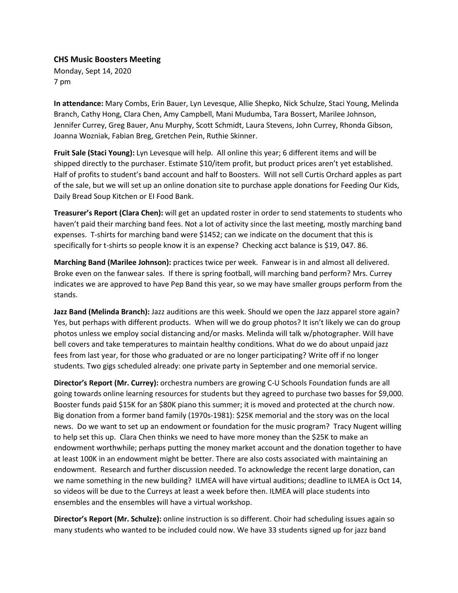## **CHS Music Boosters Meeting**

Monday, Sept 14, 2020 7 pm

**In attendance:** Mary Combs, Erin Bauer, Lyn Levesque, Allie Shepko, Nick Schulze, Staci Young, Melinda Branch, Cathy Hong, Clara Chen, Amy Campbell, Mani Mudumba, Tara Bossert, Marilee Johnson, Jennifer Currey, Greg Bauer, Anu Murphy, Scott Schmidt, Laura Stevens, John Currey, Rhonda Gibson, Joanna Wozniak, Fabian Breg, Gretchen Pein, Ruthie Skinner.

**Fruit Sale (Staci Young):** Lyn Levesque will help. All online this year; 6 different items and will be shipped directly to the purchaser. Estimate \$10/item profit, but product prices aren't yet established. Half of profits to student's band account and half to Boosters. Will not sell Curtis Orchard apples as part of the sale, but we will set up an online donation site to purchase apple donations for Feeding Our Kids, Daily Bread Soup Kitchen or EI Food Bank.

**Treasurer's Report (Clara Chen):** will get an updated roster in order to send statements to students who haven't paid their marching band fees. Not a lot of activity since the last meeting, mostly marching band expenses. T-shirts for marching band were \$1452; can we indicate on the document that this is specifically for t-shirts so people know it is an expense? Checking acct balance is \$19, 047. 86.

**Marching Band (Marilee Johnson):** practices twice per week. Fanwear is in and almost all delivered. Broke even on the fanwear sales. If there is spring football, will marching band perform? Mrs. Currey indicates we are approved to have Pep Band this year, so we may have smaller groups perform from the stands.

**Jazz Band (Melinda Branch):** Jazz auditions are this week. Should we open the Jazz apparel store again? Yes, but perhaps with different products. When will we do group photos? It isn't likely we can do group photos unless we employ social distancing and/or masks. Melinda will talk w/photographer. Will have bell covers and take temperatures to maintain healthy conditions. What do we do about unpaid jazz fees from last year, for those who graduated or are no longer participating? Write off if no longer students. Two gigs scheduled already: one private party in September and one memorial service.

**Director's Report (Mr. Currey):** orchestra numbers are growing C-U Schools Foundation funds are all going towards online learning resources for students but they agreed to purchase two basses for \$9,000. Booster funds paid \$15K for an \$80K piano this summer; it is moved and protected at the church now. Big donation from a former band family (1970s-1981): \$25K memorial and the story was on the local news. Do we want to set up an endowment or foundation for the music program? Tracy Nugent willing to help set this up. Clara Chen thinks we need to have more money than the \$25K to make an endowment worthwhile; perhaps putting the money market account and the donation together to have at least 100K in an endowment might be better. There are also costs associated with maintaining an endowment. Research and further discussion needed. To acknowledge the recent large donation, can we name something in the new building? ILMEA will have virtual auditions; deadline to ILMEA is Oct 14, so videos will be due to the Curreys at least a week before then. ILMEA will place students into ensembles and the ensembles will have a virtual workshop.

**Director's Report (Mr. Schulze):** online instruction is so different. Choir had scheduling issues again so many students who wanted to be included could now. We have 33 students signed up for jazz band